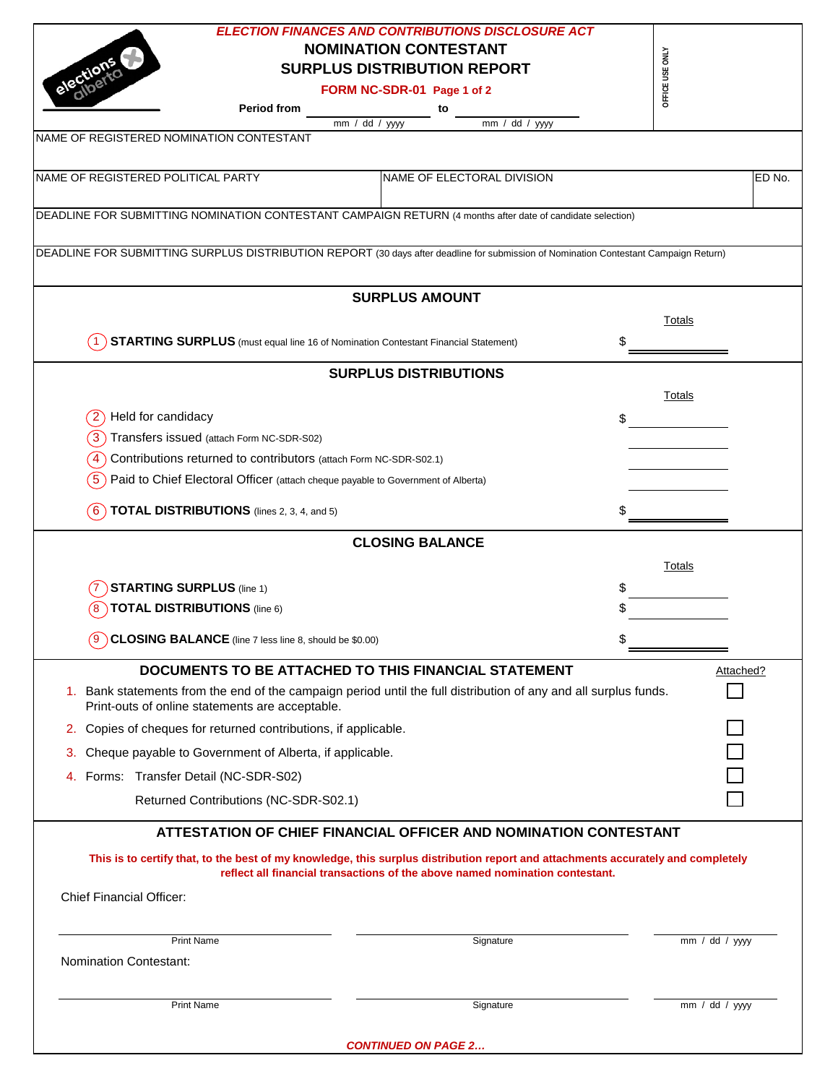| <b>ELECTION FINANCES AND CONTRIBUTIONS DISCLOSURE ACT</b><br><b>NOMINATION CONTESTANT</b><br><b>SURPLUS DISTRIBUTION REPORT</b><br>FORM NC-SDR-01 Page 1 of 2<br><b>Period from</b><br>to<br>$\overline{mm}$ / dd / yyyy<br>mm / dd / yyyy | OFFICE USE ONLY |           |
|--------------------------------------------------------------------------------------------------------------------------------------------------------------------------------------------------------------------------------------------|-----------------|-----------|
|                                                                                                                                                                                                                                            |                 |           |
|                                                                                                                                                                                                                                            |                 |           |
| NAME OF REGISTERED NOMINATION CONTESTANT                                                                                                                                                                                                   |                 |           |
|                                                                                                                                                                                                                                            |                 |           |
|                                                                                                                                                                                                                                            |                 |           |
|                                                                                                                                                                                                                                            |                 |           |
|                                                                                                                                                                                                                                            |                 |           |
| NAME OF REGISTERED POLITICAL PARTY<br>NAME OF ELECTORAL DIVISION                                                                                                                                                                           |                 | ED No.    |
|                                                                                                                                                                                                                                            |                 |           |
| DEADLINE FOR SUBMITTING NOMINATION CONTESTANT CAMPAIGN RETURN (4 months after date of candidate selection)                                                                                                                                 |                 |           |
|                                                                                                                                                                                                                                            |                 |           |
| DEADLINE FOR SUBMITTING SURPLUS DISTRIBUTION REPORT (30 days after deadline for submission of Nomination Contestant Campaign Return)                                                                                                       |                 |           |
|                                                                                                                                                                                                                                            |                 |           |
| <b>SURPLUS AMOUNT</b>                                                                                                                                                                                                                      |                 |           |
|                                                                                                                                                                                                                                            | Totals          |           |
| <b>STARTING SURPLUS</b> (must equal line 16 of Nomination Contestant Financial Statement)                                                                                                                                                  |                 |           |
|                                                                                                                                                                                                                                            |                 |           |
| <b>SURPLUS DISTRIBUTIONS</b>                                                                                                                                                                                                               |                 |           |
|                                                                                                                                                                                                                                            | Totals          |           |
| Held for candidacy                                                                                                                                                                                                                         | \$              |           |
| Transfers issued (attach Form NC-SDR-S02)                                                                                                                                                                                                  |                 |           |
| Contributions returned to contributors (attach Form NC-SDR-S02.1)<br>4                                                                                                                                                                     |                 |           |
| Paid to Chief Electoral Officer (attach cheque payable to Government of Alberta)                                                                                                                                                           |                 |           |
| <b>TOTAL DISTRIBUTIONS</b> (lines 2, 3, 4, and 5)<br>6)                                                                                                                                                                                    |                 |           |
|                                                                                                                                                                                                                                            |                 |           |
| <b>CLOSING BALANCE</b>                                                                                                                                                                                                                     |                 |           |
|                                                                                                                                                                                                                                            | Totals          |           |
| <b>STARTING SURPLUS (line 1)</b>                                                                                                                                                                                                           | \$              |           |
| <b>TOTAL DISTRIBUTIONS</b> (line 6)                                                                                                                                                                                                        |                 |           |
| (9 )<br>CLOSING BALANCE (line 7 less line 8, should be \$0.00)                                                                                                                                                                             | \$              |           |
|                                                                                                                                                                                                                                            |                 |           |
| DOCUMENTS TO BE ATTACHED TO THIS FINANCIAL STATEMENT                                                                                                                                                                                       |                 | Attached? |
| 1. Bank statements from the end of the campaign period until the full distribution of any and all surplus funds.<br>Print-outs of online statements are acceptable.                                                                        |                 |           |
| Copies of cheques for returned contributions, if applicable.<br>2.                                                                                                                                                                         |                 |           |
| Cheque payable to Government of Alberta, if applicable.<br>3.                                                                                                                                                                              |                 |           |
| Forms: Transfer Detail (NC-SDR-S02)<br>4.                                                                                                                                                                                                  |                 |           |
| Returned Contributions (NC-SDR-S02.1)                                                                                                                                                                                                      |                 |           |
|                                                                                                                                                                                                                                            |                 |           |
| ATTESTATION OF CHIEF FINANCIAL OFFICER AND NOMINATION CONTESTANT                                                                                                                                                                           |                 |           |
| This is to certify that, to the best of my knowledge, this surplus distribution report and attachments accurately and completely                                                                                                           |                 |           |
| reflect all financial transactions of the above named nomination contestant.                                                                                                                                                               |                 |           |
| <b>Chief Financial Officer:</b>                                                                                                                                                                                                            |                 |           |
|                                                                                                                                                                                                                                            |                 |           |
| <b>Print Name</b><br>Signature                                                                                                                                                                                                             | mm / dd / yyy   |           |
|                                                                                                                                                                                                                                            |                 |           |
| <b>Nomination Contestant:</b>                                                                                                                                                                                                              |                 |           |
|                                                                                                                                                                                                                                            |                 |           |
| <b>Print Name</b><br>Signature                                                                                                                                                                                                             | mm / dd / yyy   |           |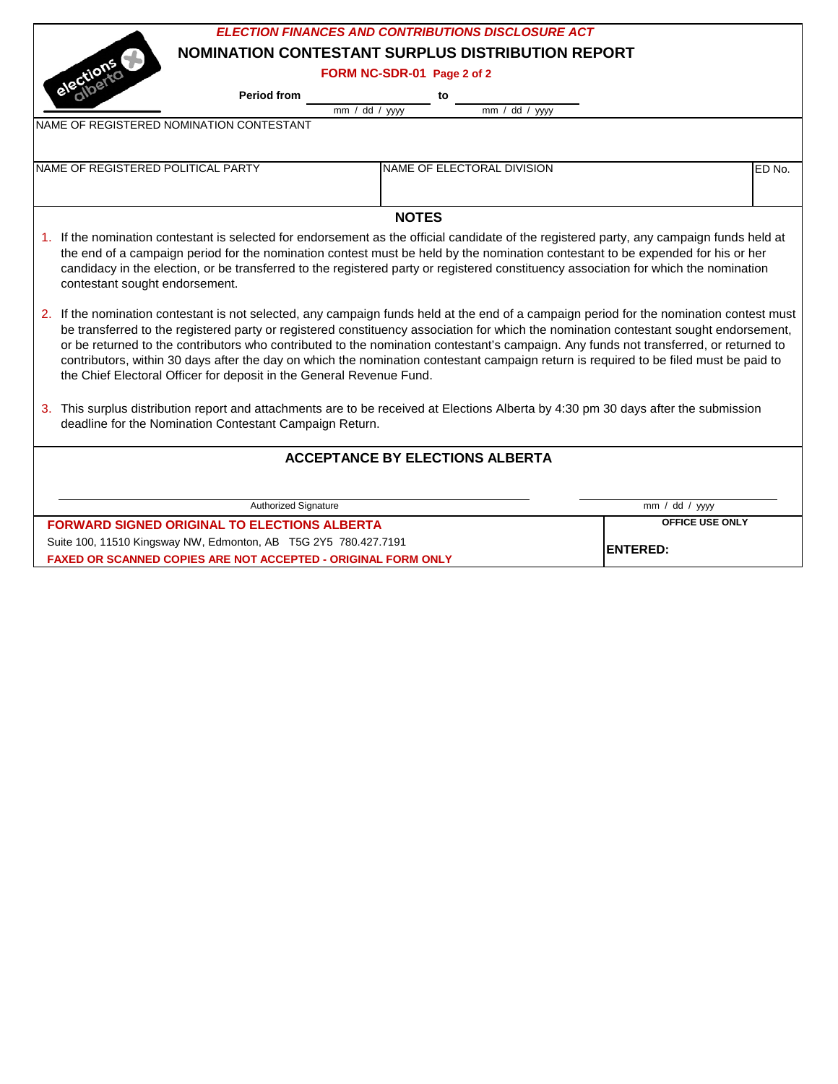|                                                                                                                                                                                                                                                                                | <b>ELECTION FINANCES AND CONTRIBUTIONS DISCLOSURE ACT</b> |                        |        |  |  |  |
|--------------------------------------------------------------------------------------------------------------------------------------------------------------------------------------------------------------------------------------------------------------------------------|-----------------------------------------------------------|------------------------|--------|--|--|--|
|                                                                                                                                                                                                                                                                                | <b>NOMINATION CONTESTANT SURPLUS DISTRIBUTION REPORT</b>  |                        |        |  |  |  |
|                                                                                                                                                                                                                                                                                | FORM NC-SDR-01 Page 2 of 2                                |                        |        |  |  |  |
| elections<br><b>Period from</b>                                                                                                                                                                                                                                                | to                                                        |                        |        |  |  |  |
|                                                                                                                                                                                                                                                                                | mm / dd / yyy<br>$\overline{mm}$ / dd / yyyy              |                        |        |  |  |  |
| NAME OF REGISTERED NOMINATION CONTESTANT                                                                                                                                                                                                                                       |                                                           |                        |        |  |  |  |
|                                                                                                                                                                                                                                                                                |                                                           |                        |        |  |  |  |
| NAME OF REGISTERED POLITICAL PARTY                                                                                                                                                                                                                                             | NAME OF ELECTORAL DIVISION                                |                        | ED No. |  |  |  |
|                                                                                                                                                                                                                                                                                |                                                           |                        |        |  |  |  |
|                                                                                                                                                                                                                                                                                |                                                           |                        |        |  |  |  |
|                                                                                                                                                                                                                                                                                | <b>NOTES</b>                                              |                        |        |  |  |  |
| 1. If the nomination contestant is selected for endorsement as the official candidate of the registered party, any campaign funds held at                                                                                                                                      |                                                           |                        |        |  |  |  |
| the end of a campaign period for the nomination contest must be held by the nomination contestant to be expended for his or her                                                                                                                                                |                                                           |                        |        |  |  |  |
| candidacy in the election, or be transferred to the registered party or registered constituency association for which the nomination                                                                                                                                           |                                                           |                        |        |  |  |  |
| contestant sought endorsement.                                                                                                                                                                                                                                                 |                                                           |                        |        |  |  |  |
| 2. If the nomination contestant is not selected, any campaign funds held at the end of a campaign period for the nomination contest must                                                                                                                                       |                                                           |                        |        |  |  |  |
| be transferred to the registered party or registered constituency association for which the nomination contestant sought endorsement,                                                                                                                                          |                                                           |                        |        |  |  |  |
|                                                                                                                                                                                                                                                                                |                                                           |                        |        |  |  |  |
| or be returned to the contributors who contributed to the nomination contestant's campaign. Any funds not transferred, or returned to<br>contributors, within 30 days after the day on which the nomination contestant campaign return is required to be filed must be paid to |                                                           |                        |        |  |  |  |
| the Chief Electoral Officer for deposit in the General Revenue Fund.                                                                                                                                                                                                           |                                                           |                        |        |  |  |  |
|                                                                                                                                                                                                                                                                                |                                                           |                        |        |  |  |  |
| 3. This surplus distribution report and attachments are to be received at Elections Alberta by 4:30 pm 30 days after the submission                                                                                                                                            |                                                           |                        |        |  |  |  |
| deadline for the Nomination Contestant Campaign Return.                                                                                                                                                                                                                        |                                                           |                        |        |  |  |  |
|                                                                                                                                                                                                                                                                                |                                                           |                        |        |  |  |  |
| <b>ACCEPTANCE BY ELECTIONS ALBERTA</b>                                                                                                                                                                                                                                         |                                                           |                        |        |  |  |  |
|                                                                                                                                                                                                                                                                                |                                                           |                        |        |  |  |  |
| Authorized Signature                                                                                                                                                                                                                                                           |                                                           | mm / dd / yyyy         |        |  |  |  |
| <b>FORWARD SIGNED ORIGINAL TO ELECTIONS ALBERTA</b>                                                                                                                                                                                                                            |                                                           | <b>OFFICE USE ONLY</b> |        |  |  |  |
| Suite 100, 11510 Kingsway NW, Edmonton, AB T5G 2Y5 780.427.7191                                                                                                                                                                                                                |                                                           |                        |        |  |  |  |
| FAXED OR SCANNED COPIES ARE NOT ACCEPTED - ORIGINAL FORM ONLY                                                                                                                                                                                                                  | <b>ENTERED:</b>                                           |                        |        |  |  |  |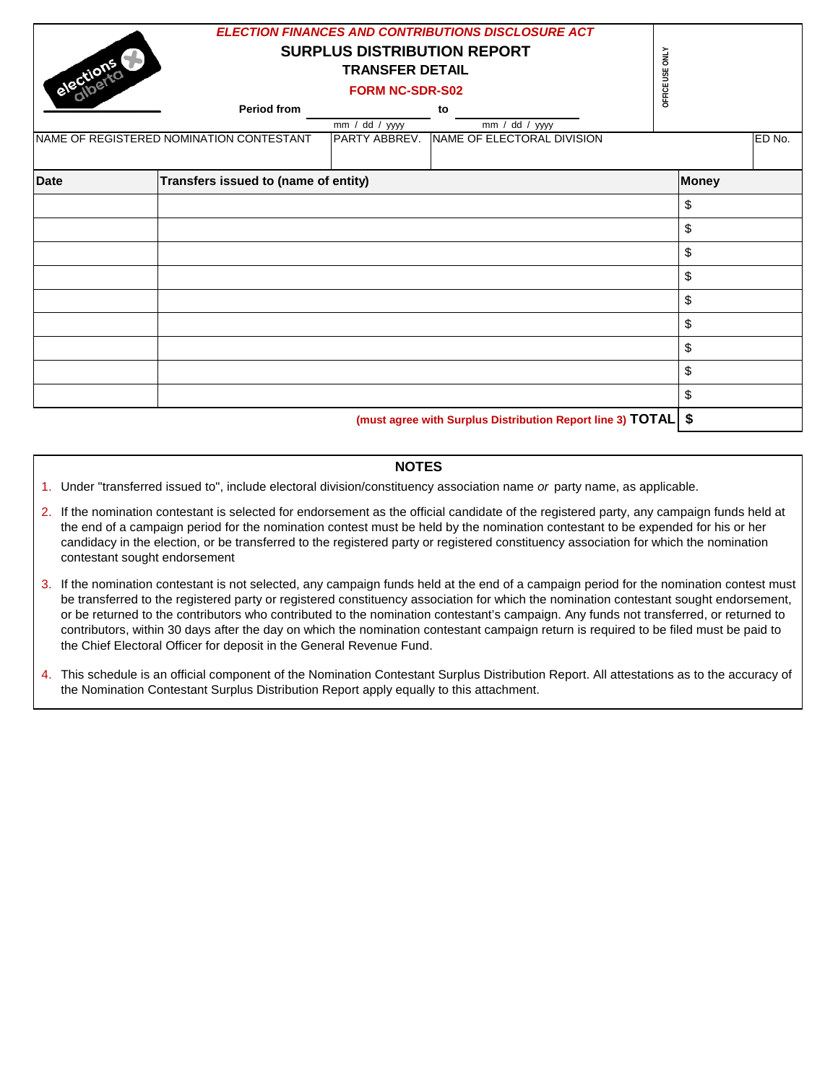| elections                                                       | <b>Period from</b><br>NAME OF REGISTERED NOMINATION CONTESTANT | <b>SURPLUS DISTRIBUTION REPORT</b><br><b>TRANSFER DETAIL</b><br><b>FORM NC-SDR-S02</b><br>mm / dd / yyy<br>PARTY ABBREV. | <b>ELECTION FINANCES AND CONTRIBUTIONS DISCLOSURE ACT</b><br>to<br>$mm / dd / yy$ yy<br>NAME OF ELECTORAL DIVISION | OFFICE USE ONLY |    | ED No. |
|-----------------------------------------------------------------|----------------------------------------------------------------|--------------------------------------------------------------------------------------------------------------------------|--------------------------------------------------------------------------------------------------------------------|-----------------|----|--------|
|                                                                 |                                                                |                                                                                                                          |                                                                                                                    |                 |    |        |
| <b>Date</b>                                                     | Transfers issued to (name of entity)                           |                                                                                                                          |                                                                                                                    | <b>Money</b>    |    |        |
|                                                                 |                                                                |                                                                                                                          |                                                                                                                    |                 | \$ |        |
|                                                                 |                                                                |                                                                                                                          |                                                                                                                    |                 | \$ |        |
|                                                                 |                                                                |                                                                                                                          |                                                                                                                    |                 | \$ |        |
|                                                                 |                                                                |                                                                                                                          |                                                                                                                    |                 | \$ |        |
|                                                                 |                                                                |                                                                                                                          |                                                                                                                    |                 | \$ |        |
|                                                                 |                                                                |                                                                                                                          |                                                                                                                    |                 | \$ |        |
|                                                                 |                                                                |                                                                                                                          |                                                                                                                    |                 | \$ |        |
|                                                                 |                                                                |                                                                                                                          |                                                                                                                    |                 | \$ |        |
|                                                                 |                                                                |                                                                                                                          |                                                                                                                    |                 | \$ |        |
| (must agree with Surplus Distribution Report line 3) TOTAL   \$ |                                                                |                                                                                                                          |                                                                                                                    |                 |    |        |

## **NOTES**

- 1. Under "transferred issued to", include electoral division/constituency association name *or* party name, as applicable.
- 2. If the nomination contestant is selected for endorsement as the official candidate of the registered party, any campaign funds held at the end of a campaign period for the nomination contest must be held by the nomination contestant to be expended for his or her candidacy in the election, or be transferred to the registered party or registered constituency association for which the nomination contestant sought endorsement
- 3. If the nomination contestant is not selected, any campaign funds held at the end of a campaign period for the nomination contest must be transferred to the registered party or registered constituency association for which the nomination contestant sought endorsement, or be returned to the contributors who contributed to the nomination contestant's campaign. Any funds not transferred, or returned to contributors, within 30 days after the day on which the nomination contestant campaign return is required to be filed must be paid to the Chief Electoral Officer for deposit in the General Revenue Fund.
- 4. This schedule is an official component of the Nomination Contestant Surplus Distribution Report. All attestations as to the accuracy of the Nomination Contestant Surplus Distribution Report apply equally to this attachment.